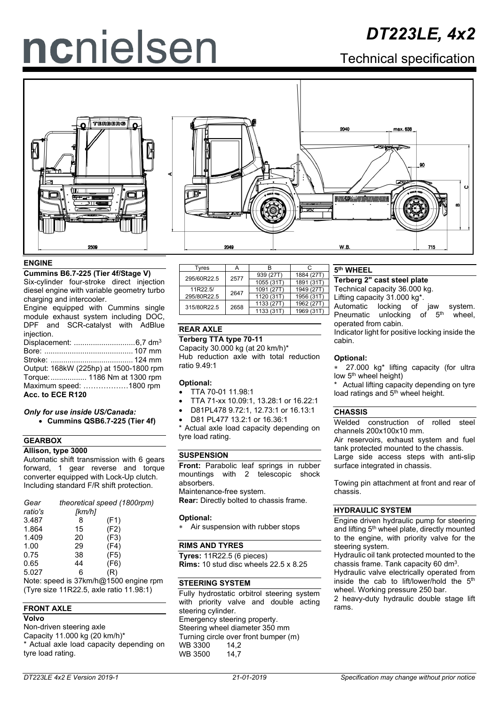# ncnielsen

# *DT223LE, 4x2*

Technical specification



#### **ENGINE**

**Cummins B6.7-225 (Tier 4f/Stage V)** Six-cylinder four-stroke direct injection

diesel engine with variable geometry turbo charging and intercooler.

Engine equipped with Cummins single module exhaust system including DOC, DPF and SCR-catalyst with AdBlue injection.

Displacement: .............................6,7 dm3 Bore: .......................................... 107 mm Stroke: ....................................... 124 mm Output: 168kW (225hp) at 1500-1800 rpm Torque:................. 1186 Nm at 1300 rpm Maximum speed: ………………1800 rpm **Acc. to ECE R120**

#### *Only for use inside US/Canada:* • **Cummins QSB6.7-225 (Tier 4f)**

## **GEARBOX**

**Allison, type 3000**  Automatic shift transmission with 6 gears forward, 1 gear reverse and torque converter equipped with Lock-Up clutch. Including standard F/R shift protection.

| Gear    | theoretical speed (1800rpm) |      |  |  |  |
|---------|-----------------------------|------|--|--|--|
| ratio's | [km/h]                      |      |  |  |  |
| 3.487   | 8                           | (F1) |  |  |  |
| 1.864   | 15                          | (F2) |  |  |  |
| 1.409   | 20                          | (F3) |  |  |  |
| 1.00    | 29                          | (F4) |  |  |  |
| 0.75    | 38                          | (F5) |  |  |  |
| 0.65    | 44                          | (F6) |  |  |  |
| 5.027   | 6                           | (R)  |  |  |  |
|         |                             |      |  |  |  |

Note: speed is 37km/h@1500 engine rpm (Tyre size 11R22.5, axle ratio 11.98:1)

#### **FRONT AXLE**

#### **Volvo**

Non-driven steering axle Capacity 11.000 kg (20 km/h)\* Actual axle load capacity depending on tyre load rating.

| Tyres       |      |            | r.         |
|-------------|------|------------|------------|
| 295/60R22.5 | 2577 | 939 (27T)  | 1884 (27T) |
|             |      | 1055 (31T) | 1891 (31T) |
| 11R22.5/    | 2647 | 1091 (27T) | 1949 (27T) |
| 295/80R22.5 |      | 1120 (31T) | 1956 (31T) |
| 315/80R22.5 | 2658 | 1133 (27T) | 1962 (27T) |
|             |      | 1133 (31T) | 1969 (31T) |
|             |      |            |            |

#### **REAR AXLE**

**Terberg TTA type 70-11**

Capacity 30.000 kg (at 20 km/h)\* Hub reduction axle with total reduction ratio 9.49:1

- **Optional:** • TTA 70-01 11.98:1
- 
- TTA 71-xx 10.09:1, 13.28:1 or 16.22:1
- D81PL478 9.72:1, 12.73:1 or 16.13:1
- D81 PL477 13.2:1 or 16.36:1

\* Actual axle load capacity depending on tyre load rating.

#### **SUSPENSION**

**Front:** Parabolic leaf springs in rubber mountings with 2 telescopic shock absorbers. Maintenance-free system. **Rear:** Directly bolted to chassis frame.

#### **Optional:**

Air suspension with rubber stops

#### **RIMS AND TYRES**

**Tyres:** 11R22.5 (6 pieces) **Rims:** 10 stud disc wheels 22.5 x 8.25

## **STEERING SYSTEM**

Fully hydrostatic orbitrol steering system with priority valve and double acting steering cylinder. Emergency steering property. Steering wheel diameter 350 mm Turning circle over front bumper (m) WB 3300 14,2<br>WB 3500 14.7 WB 3500

#### **5th WHEEL**

**Terberg 2" cast steel plate**

Technical capacity 36.000 kg.

Lifting capacity 31.000 kg\*.

Automatic locking of jaw system.<br>Pneumatic unlocking of  $5<sup>th</sup>$  wheel, unlocking of 5<sup>th</sup> operated from cabin.

Indicator light for positive locking inside the cabin.

#### **Optional:**

127.000 kg<sup>\*</sup> lifting capacity (for ultra low 5<sup>th</sup> wheel height)

Actual lifting capacity depending on tyre load ratings and 5<sup>th</sup> wheel height.

#### **CHASSIS**

Welded construction of rolled steel channels 200x100x10 mm.

Air reservoirs, exhaust system and fuel tank protected mounted to the chassis.

Large side access steps with anti-slip surface integrated in chassis.

Towing pin attachment at front and rear of chassis.

#### **HYDRAULIC SYSTEM**

Engine driven hydraulic pump for steering and lifting 5<sup>th</sup> wheel plate, directly mounted to the engine, with priority valve for the steering system.

Hydraulic oil tank protected mounted to the chassis frame. Tank capacity 60 dm<sup>3</sup>.

Hydraulic valve electrically operated from inside the cab to lift/lower/hold the 5<sup>th</sup> wheel. Working pressure 250 bar.

2 heavy-duty hydraulic double stage lift rams.